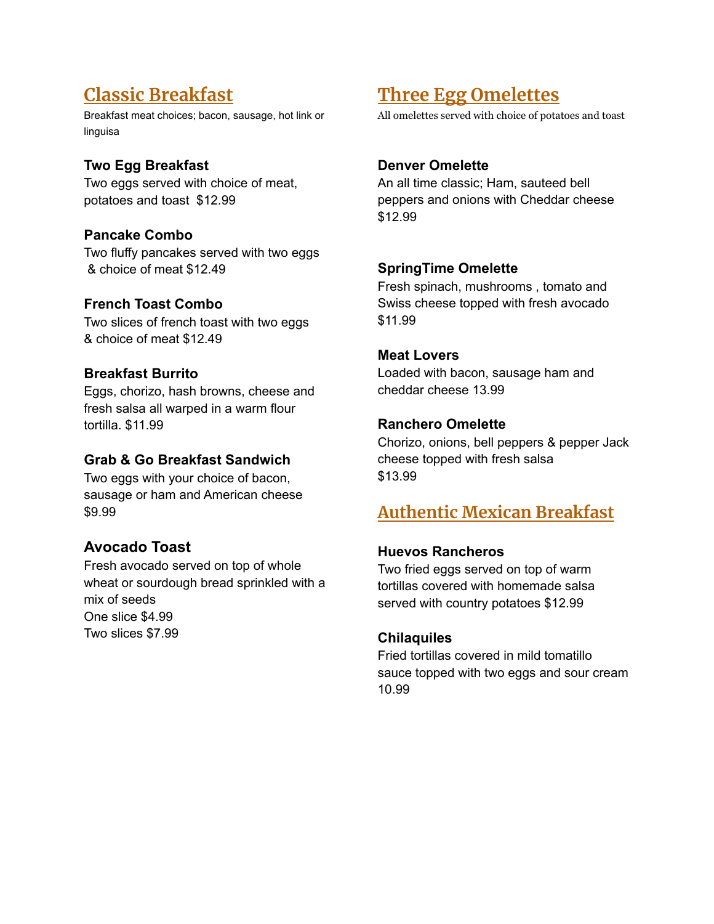## **Classic Breakfast**

Breakfast meat choices; bacon, sausage, hot link or linguisa

## **Two Egg Breakfast**

Two eggs served with choice of meat, potatoes and toast \$12.99

## **Pancake Combo**

Two fluffy pancakes served with two eggs & choice of meat \$12.49

## **French Toast Combo**

Two slices of french toast with two eggs & choice of meat \$12.49

## **Breakfast Burrito**

Eggs, chorizo, hash browns, cheese and fresh salsa all warped in a warm flour tortilla. \$11.99

## **Grab & Go Breakfast Sandwich**

Two eggs with your choice of bacon, sausage or ham and American cheese \$9.99

## **Avocado Toast**

Fresh avocado served on top of whole wheat or sourdough bread sprinkled with a mix of seeds One slice \$4.99 Two slices \$7.99

# **Three Egg Omelettes**

All omelettes served with choice of potatoes and toast

## **Denver Omelette**

An all time classic; Ham, sauteed bell peppers and onions with Cheddar cheese \$12.99

## **SpringTime Omelette**

Fresh spinach, mushrooms , tomato and Swiss cheese topped with fresh avocado \$11.99

## **Meat Lovers**

Loaded with bacon, sausage ham and cheddar cheese 13.99

## **Ranchero Omelette**

Chorizo, onions, bell peppers & pepper Jack cheese topped with fresh salsa \$13.99

## **Authentic Mexican Breakfast**

## **Huevos Rancheros**

Two fried eggs served on top of warm tortillas covered with homemade salsa served with country potatoes \$12.99

## **Chilaquiles**

Fried tortillas covered in mild tomatillo sauce topped with two eggs and sour cream 10.99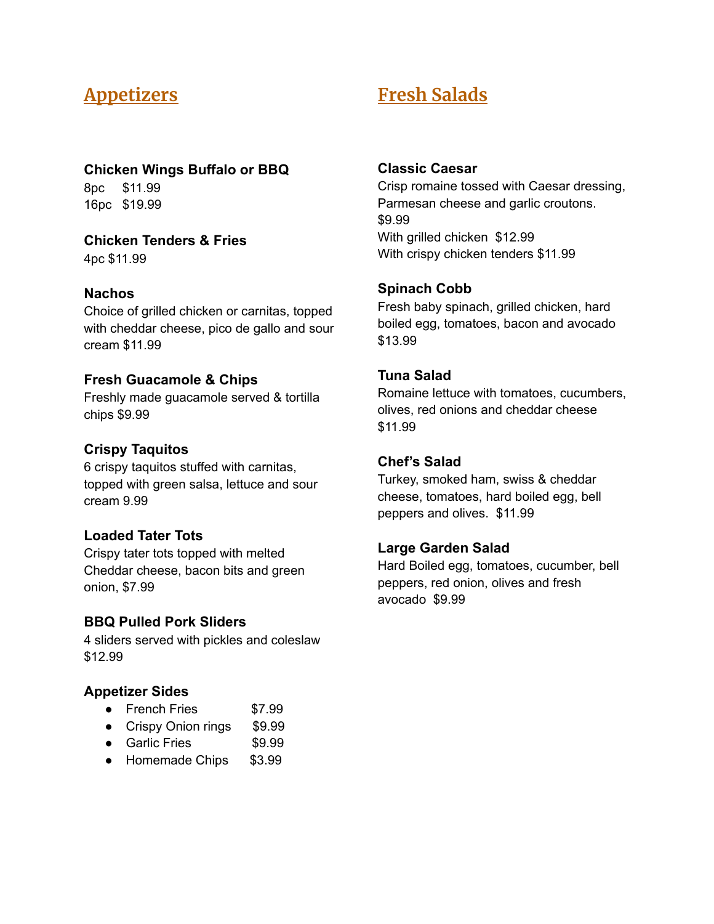## **Appetizers**

**Chicken Wings Buffalo or BBQ**

8pc \$11.99 16pc \$19.99

**Chicken Tenders & Fries**

4pc \$11.99

#### **Nachos**

Choice of grilled chicken or carnitas, topped with cheddar cheese, pico de gallo and sour cream \$11.99

#### **Fresh Guacamole & Chips**

Freshly made guacamole served & tortilla chips \$9.99

#### **Crispy Taquitos**

6 crispy taquitos stuffed with carnitas, topped with green salsa, lettuce and sour cream 9.99

#### **Loaded Tater Tots**

Crispy tater tots topped with melted Cheddar cheese, bacon bits and green onion, \$7.99

#### **BBQ Pulled Pork Sliders**

4 sliders served with pickles and coleslaw \$12.99

#### **Appetizer Sides**

- French Fries \$7.99
- Crispy Onion rings \$9.99
- Garlic Fries \$9.99
- Homemade Chips \$3.99

# **Fresh Salads**

#### **Classic Caesar**

Crisp romaine tossed with Caesar dressing, Parmesan cheese and garlic croutons. \$9.99 With grilled chicken \$12.99 With crispy chicken tenders \$11.99

#### **Spinach Cobb**

Fresh baby spinach, grilled chicken, hard boiled egg, tomatoes, bacon and avocado \$13.99

#### **Tuna Salad**

Romaine lettuce with tomatoes, cucumbers, olives, red onions and cheddar cheese \$11.99

### **Chef's Salad**

Turkey, smoked ham, swiss & cheddar cheese, tomatoes, hard boiled egg, bell peppers and olives. \$11.99

#### **Large Garden Salad**

Hard Boiled egg, tomatoes, cucumber, bell peppers, red onion, olives and fresh avocado \$9.99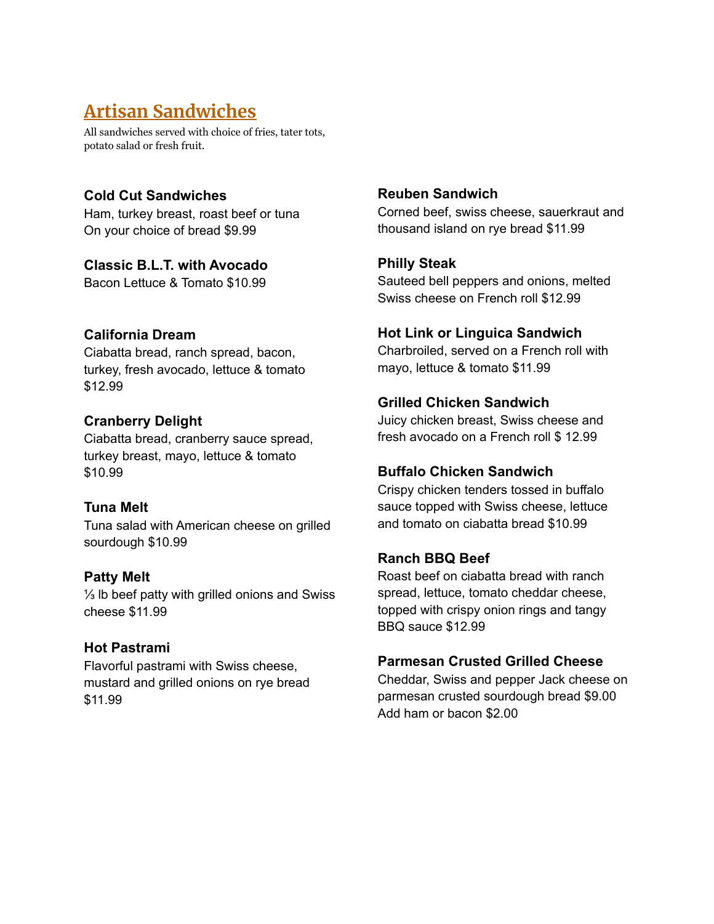# **Artisan Sandwiches**

All sandwiches served with choice of fries, tater tots, potato salad or fresh fruit.

## **Cold Cut Sandwiches**

Ham, turkey breast, roast beef or tuna On your choice of bread \$9.99

### **Classic B.L.T. with Avocado**

Bacon Lettuce & Tomato \$10.99

## **California Dream**

Ciabatta bread, ranch spread, bacon, turkey, fresh avocado, lettuce & tomato \$12.99

## **Cranberry Delight**

Ciabatta bread, cranberry sauce spread, turkey breast, mayo, lettuce & tomato \$10.99

## **Tuna Melt**

Tuna salad with American cheese on grilled sourdough \$10.99

#### **Patty Melt**

⅓ lb beef patty with grilled onions and Swiss cheese \$11.99

## **Hot Pastrami**

Flavorful pastrami with Swiss cheese, mustard and grilled onions on rye bread \$11.99

#### **Reuben Sandwich**

Corned beef, swiss cheese, sauerkraut and thousand island on rye bread \$11.99

## **Philly Steak**

Sauteed bell peppers and onions, melted Swiss cheese on French roll \$12.99

## **Hot Link or Linguica Sandwich**

Charbroiled, served on a French roll with mayo, lettuce & tomato \$11.99

## **Grilled Chicken Sandwich**

Juicy chicken breast, Swiss cheese and fresh avocado on a French roll \$ 12.99

#### **Buffalo Chicken Sandwich**

Crispy chicken tenders tossed in buffalo sauce topped with Swiss cheese, lettuce and tomato on ciabatta bread \$10.99

## **Ranch BBQ Beef**

Roast beef on ciabatta bread with ranch spread, lettuce, tomato cheddar cheese, topped with crispy onion rings and tangy BBQ sauce \$12.99

#### **Parmesan Crusted Grilled Cheese**

Cheddar, Swiss and pepper Jack cheese on parmesan crusted sourdough bread \$9.00 Add ham or bacon \$2.00